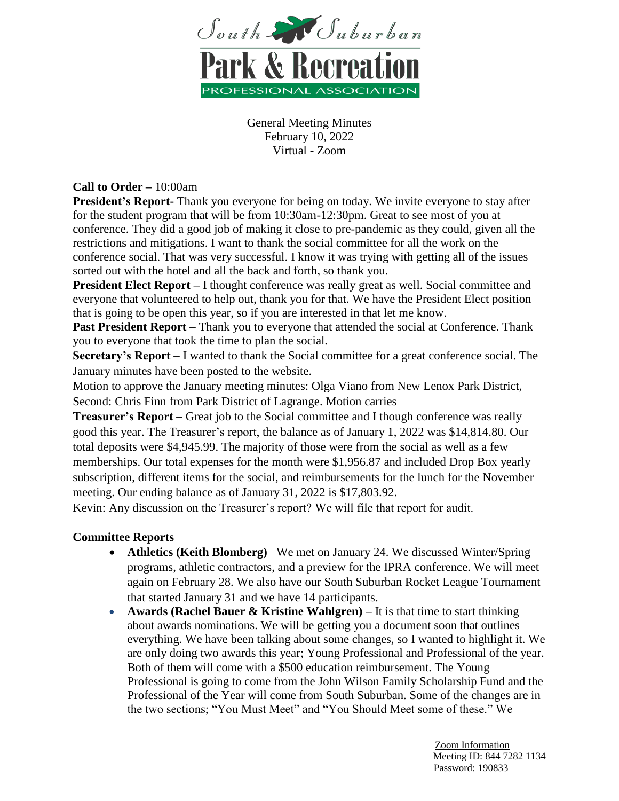

## **Call to Order –** 10:00am

**President's Report-** Thank you everyone for being on today. We invite everyone to stay after for the student program that will be from 10:30am-12:30pm. Great to see most of you at conference. They did a good job of making it close to pre-pandemic as they could, given all the restrictions and mitigations. I want to thank the social committee for all the work on the conference social. That was very successful. I know it was trying with getting all of the issues sorted out with the hotel and all the back and forth, so thank you.

**President Elect Report** – I thought conference was really great as well. Social committee and everyone that volunteered to help out, thank you for that. We have the President Elect position that is going to be open this year, so if you are interested in that let me know.

**Past President Report** – Thank you to everyone that attended the social at Conference. Thank you to everyone that took the time to plan the social.

**Secretary's Report –** I wanted to thank the Social committee for a great conference social. The January minutes have been posted to the website.

Motion to approve the January meeting minutes: Olga Viano from New Lenox Park District, Second: Chris Finn from Park District of Lagrange. Motion carries

**Treasurer's Report –** Great job to the Social committee and I though conference was really good this year. The Treasurer's report, the balance as of January 1, 2022 was \$14,814.80. Our total deposits were \$4,945.99. The majority of those were from the social as well as a few memberships. Our total expenses for the month were \$1,956.87 and included Drop Box yearly subscription, different items for the social, and reimbursements for the lunch for the November meeting. Our ending balance as of January 31, 2022 is \$17,803.92.

Kevin: Any discussion on the Treasurer's report? We will file that report for audit.

## **Committee Reports**

- **Athletics (Keith Blomberg)** –We met on January 24. We discussed Winter/Spring programs, athletic contractors, and a preview for the IPRA conference. We will meet again on February 28. We also have our South Suburban Rocket League Tournament that started January 31 and we have 14 participants.
- **Awards (Rachel Bauer & Kristine Wahlgren)** It is that time to start thinking about awards nominations. We will be getting you a document soon that outlines everything. We have been talking about some changes, so I wanted to highlight it. We are only doing two awards this year; Young Professional and Professional of the year. Both of them will come with a \$500 education reimbursement. The Young Professional is going to come from the John Wilson Family Scholarship Fund and the Professional of the Year will come from South Suburban. Some of the changes are in the two sections; "You Must Meet" and "You Should Meet some of these." We

 Zoom Information Meeting ID: 844 7282 1134 Password: 190833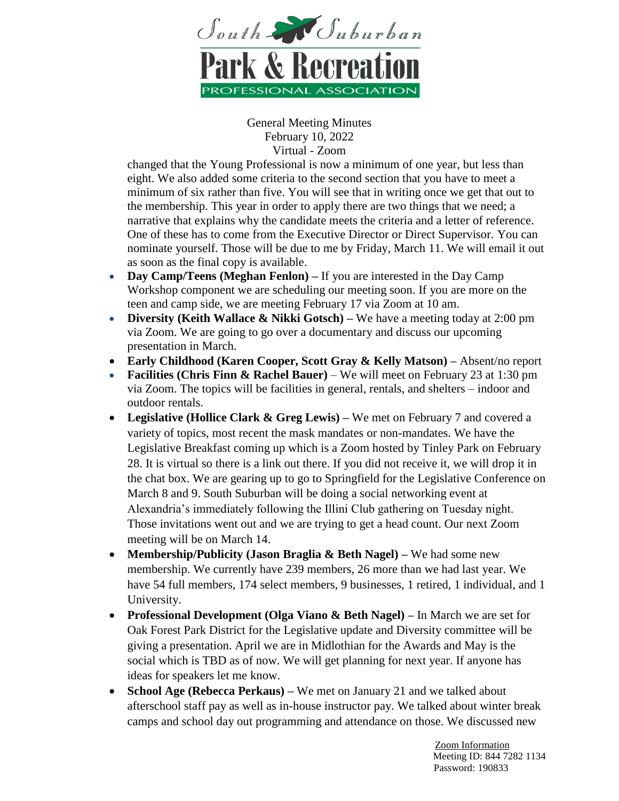

changed that the Young Professional is now a minimum of one year, but less than eight. We also added some criteria to the second section that you have to meet a minimum of six rather than five. You will see that in writing once we get that out to the membership. This year in order to apply there are two things that we need; a narrative that explains why the candidate meets the criteria and a letter of reference. One of these has to come from the Executive Director or Direct Supervisor. You can nominate yourself. Those will be due to me by Friday, March 11. We will email it out as soon as the final copy is available.

- **Day Camp/Teens (Meghan Fenlon)** If you are interested in the Day Camp Workshop component we are scheduling our meeting soon. If you are more on the teen and camp side, we are meeting February 17 via Zoom at 10 am.
- **Diversity (Keith Wallace & Nikki Gotsch)** We have a meeting today at 2:00 pm via Zoom. We are going to go over a documentary and discuss our upcoming presentation in March.
- **Early Childhood (Karen Cooper, Scott Gray & Kelly Matson) –** Absent/no report
- **Facilities (Chris Finn & Rachel Bauer)** We will meet on February 23 at 1:30 pm via Zoom. The topics will be facilities in general, rentals, and shelters – indoor and outdoor rentals.
- **Legislative (Hollice Clark & Greg Lewis) –** We met on February 7 and covered a variety of topics, most recent the mask mandates or non-mandates. We have the Legislative Breakfast coming up which is a Zoom hosted by Tinley Park on February 28. It is virtual so there is a link out there. If you did not receive it, we will drop it in the chat box. We are gearing up to go to Springfield for the Legislative Conference on March 8 and 9. South Suburban will be doing a social networking event at Alexandria's immediately following the Illini Club gathering on Tuesday night. Those invitations went out and we are trying to get a head count. Our next Zoom meeting will be on March 14.
- **Membership/Publicity (Jason Braglia & Beth Nagel) –** We had some new membership. We currently have 239 members, 26 more than we had last year. We have 54 full members, 174 select members, 9 businesses, 1 retired, 1 individual, and 1 University.
- **Professional Development (Olga Viano & Beth Nagel) –** In March we are set for Oak Forest Park District for the Legislative update and Diversity committee will be giving a presentation. April we are in Midlothian for the Awards and May is the social which is TBD as of now. We will get planning for next year. If anyone has ideas for speakers let me know.
- **School Age (Rebecca Perkaus)** We met on January 21 and we talked about afterschool staff pay as well as in-house instructor pay. We talked about winter break camps and school day out programming and attendance on those. We discussed new

 Zoom Information Meeting ID: 844 7282 1134 Password: 190833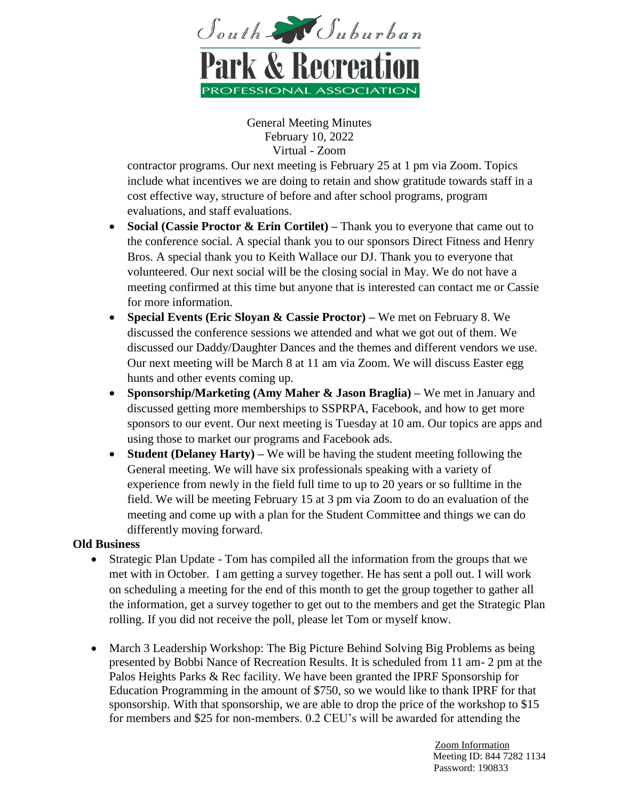

contractor programs. Our next meeting is February 25 at 1 pm via Zoom. Topics include what incentives we are doing to retain and show gratitude towards staff in a cost effective way, structure of before and after school programs, program evaluations, and staff evaluations.

- **Social (Cassie Proctor & Erin Cortilet)** Thank you to everyone that came out to the conference social. A special thank you to our sponsors Direct Fitness and Henry Bros. A special thank you to Keith Wallace our DJ. Thank you to everyone that volunteered. Our next social will be the closing social in May. We do not have a meeting confirmed at this time but anyone that is interested can contact me or Cassie for more information.
- **Special Events (Eric Sloyan & Cassie Proctor) –** We met on February 8. We discussed the conference sessions we attended and what we got out of them. We discussed our Daddy/Daughter Dances and the themes and different vendors we use. Our next meeting will be March 8 at 11 am via Zoom. We will discuss Easter egg hunts and other events coming up.
- **Sponsorship/Marketing (Amy Maher & Jason Braglia) –** We met in January and discussed getting more memberships to SSPRPA, Facebook, and how to get more sponsors to our event. Our next meeting is Tuesday at 10 am. Our topics are apps and using those to market our programs and Facebook ads.
- **Student (Delaney Harty) –** We will be having the student meeting following the General meeting. We will have six professionals speaking with a variety of experience from newly in the field full time to up to 20 years or so fulltime in the field. We will be meeting February 15 at 3 pm via Zoom to do an evaluation of the meeting and come up with a plan for the Student Committee and things we can do differently moving forward.

## **Old Business**

- Strategic Plan Update Tom has compiled all the information from the groups that we met with in October. I am getting a survey together. He has sent a poll out. I will work on scheduling a meeting for the end of this month to get the group together to gather all the information, get a survey together to get out to the members and get the Strategic Plan rolling. If you did not receive the poll, please let Tom or myself know.
- March 3 Leadership Workshop: The Big Picture Behind Solving Big Problems as being presented by Bobbi Nance of Recreation Results. It is scheduled from 11 am- 2 pm at the Palos Heights Parks & Rec facility. We have been granted the IPRF Sponsorship for Education Programming in the amount of \$750, so we would like to thank IPRF for that sponsorship. With that sponsorship, we are able to drop the price of the workshop to \$15 for members and \$25 for non-members. 0.2 CEU's will be awarded for attending the

 Zoom Information Meeting ID: 844 7282 1134 Password: 190833